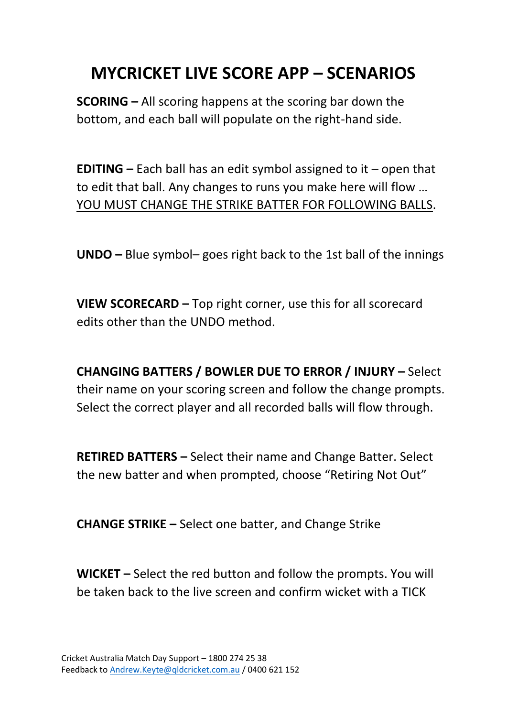## **MYCRICKET LIVE SCORE APP – SCENARIOS**

**SCORING –** All scoring happens at the scoring bar down the bottom, and each ball will populate on the right-hand side.

**EDITING –** Each ball has an edit symbol assigned to it – open that to edit that ball. Any changes to runs you make here will flow … YOU MUST CHANGE THE STRIKE BATTER FOR FOLLOWING BALLS.

**UNDO –** Blue symbol– goes right back to the 1st ball of the innings

**VIEW SCORECARD –** Top right corner, use this for all scorecard edits other than the UNDO method.

**CHANGING BATTERS / BOWLER DUE TO ERROR / INJURY –** Select their name on your scoring screen and follow the change prompts. Select the correct player and all recorded balls will flow through.

**RETIRED BATTERS –** Select their name and Change Batter. Select the new batter and when prompted, choose "Retiring Not Out"

**CHANGE STRIKE –** Select one batter, and Change Strike

**WICKET –** Select the red button and follow the prompts. You will be taken back to the live screen and confirm wicket with a TICK